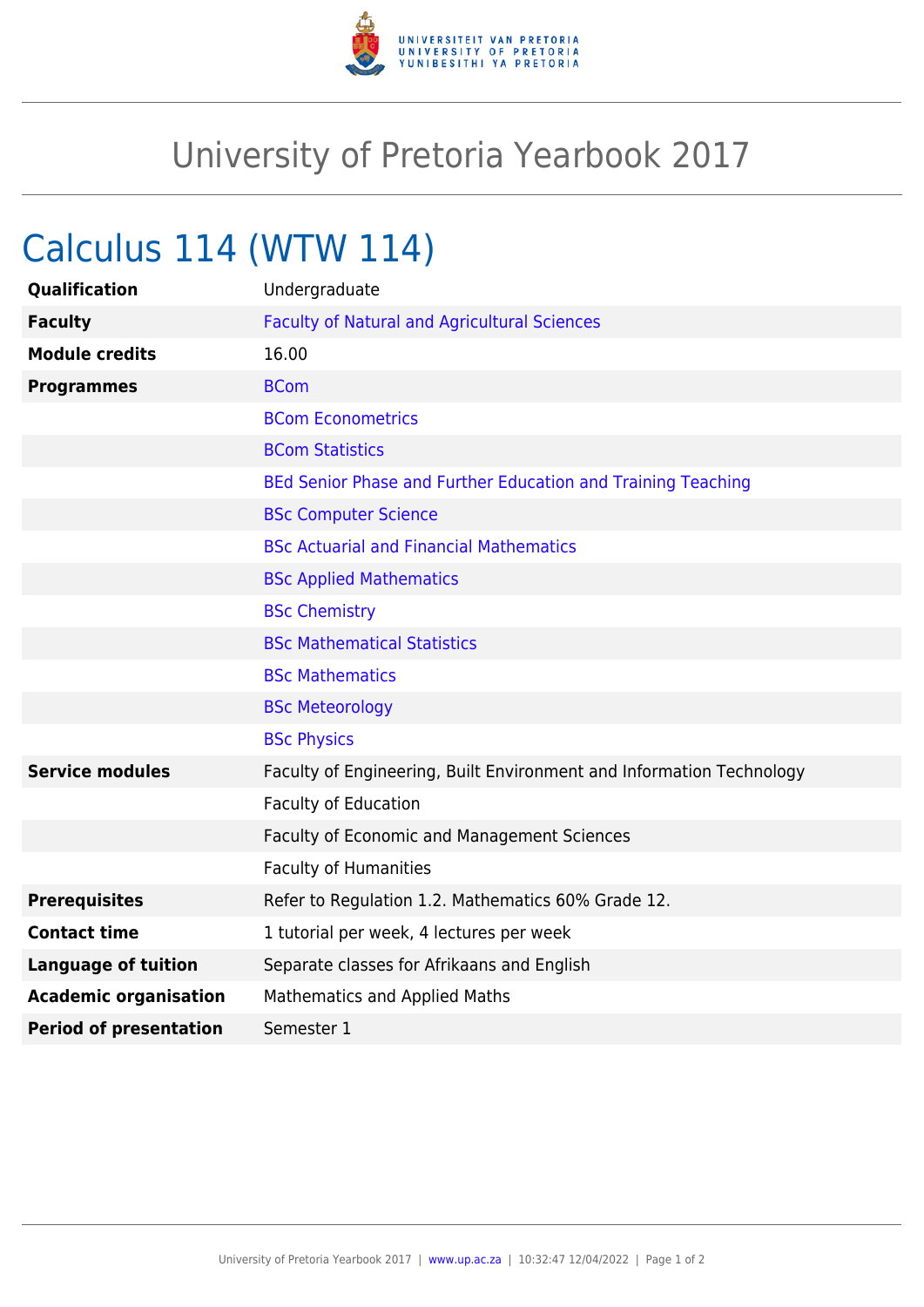

## University of Pretoria Yearbook 2017

## Calculus 114 (WTW 114)

| <b>Qualification</b>          | Undergraduate                                                        |
|-------------------------------|----------------------------------------------------------------------|
| <b>Faculty</b>                | <b>Faculty of Natural and Agricultural Sciences</b>                  |
| <b>Module credits</b>         | 16.00                                                                |
| <b>Programmes</b>             | <b>BCom</b>                                                          |
|                               | <b>BCom Econometrics</b>                                             |
|                               | <b>BCom Statistics</b>                                               |
|                               | BEd Senior Phase and Further Education and Training Teaching         |
|                               | <b>BSc Computer Science</b>                                          |
|                               | <b>BSc Actuarial and Financial Mathematics</b>                       |
|                               | <b>BSc Applied Mathematics</b>                                       |
|                               | <b>BSc Chemistry</b>                                                 |
|                               | <b>BSc Mathematical Statistics</b>                                   |
|                               | <b>BSc Mathematics</b>                                               |
|                               | <b>BSc Meteorology</b>                                               |
|                               | <b>BSc Physics</b>                                                   |
| <b>Service modules</b>        | Faculty of Engineering, Built Environment and Information Technology |
|                               | <b>Faculty of Education</b>                                          |
|                               | <b>Faculty of Economic and Management Sciences</b>                   |
|                               | <b>Faculty of Humanities</b>                                         |
| <b>Prerequisites</b>          | Refer to Regulation 1.2. Mathematics 60% Grade 12.                   |
| <b>Contact time</b>           | 1 tutorial per week, 4 lectures per week                             |
| <b>Language of tuition</b>    | Separate classes for Afrikaans and English                           |
| <b>Academic organisation</b>  | <b>Mathematics and Applied Maths</b>                                 |
| <b>Period of presentation</b> | Semester 1                                                           |